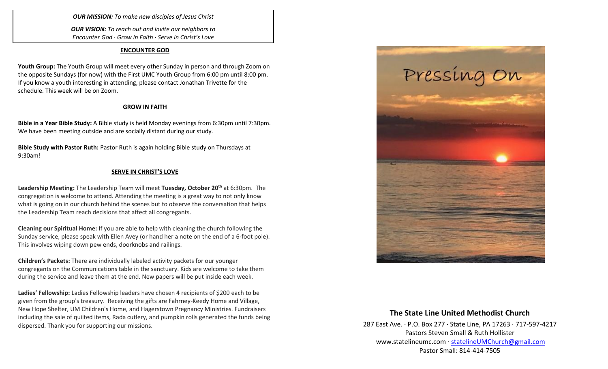*OUR MISSION: To make new disciples of Jesus Christ*

*OUR VISION: To reach out and invite our neighbors to Encounter God · Grow in Faith · Serve in Christ's Love*

#### **ENCOUNTER GOD**

**Youth Group:** The Youth Group will meet every other Sunday in person and through Zoom on the opposite Sundays (for now) with the First UMC Youth Group from 6:00 pm until 8:00 pm. If you know a youth interesting in attending, please contact Jonathan Trivette for the schedule. This week will be on Zoom.

# **GROW IN FAITH**

**Bible in a Year Bible Study:** A Bible study is held Monday evenings from 6:30pm until 7:30pm. We have been meeting outside and are socially distant during our study.

**Bible Study with Pastor Ruth:** Pastor Ruth is again holding Bible study on Thursdays at 9:30am!

# **SERVE IN CHRIST'S LOVE**

**Leadership Meeting:** The Leadership Team will meet **Tuesday, October 20th** at 6:30pm. The congregation is welcome to attend. Attending the meeting is a great way to not only know what is going on in our church behind the scenes but to observe the conversation that helps the Leadership Team reach decisions that affect all congregants.

**Cleaning our Spiritual Home:** If you are able to help with cleaning the church following the Sunday service, please speak with Ellen Avey (or hand her a note on the end of a 6-foot pole). This involves wiping down pew ends, doorknobs and railings.

**Children's Packets:** There are individually labeled activity packets for our younger congregants on the Communications table in the sanctuary. Kids are welcome to take them during the service and leave them at the end. New papers will be put inside each week.

**Ladies' Fellowship:** Ladies Fellowship leaders have chosen 4 recipients of \$200 each to be given from the group's treasury. Receiving the gifts are Fahrney-Keedy Home and Village, New Hope Shelter, UM Children's Home, and Hagerstown Pregnancy Ministries. Fundraisers including the sale of quilted items, Rada cutlery, and pumpkin rolls generated the funds being dispersed. Thank you for supporting our missions.



# **The State Line United Methodist Church**

287 East Ave. · P.O. Box 277 · State Line, PA 17263 · 717-597-4217 Pastors Steven Small & Ruth Hollister [www.statelineumc.com](http://www.statelineumc.com/) · [statelineUMChurch@gmail.com](mailto:statelineUMChurch@gmail.com) Pastor Small: 814-414-7505